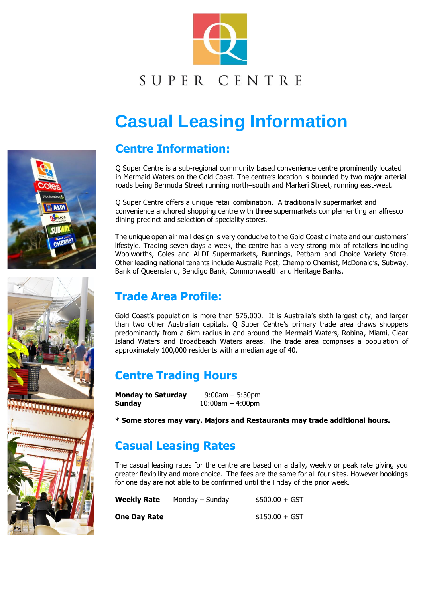

# SUPER CENTRE

# **Casual Leasing Information**

#### **Centre Information:**

Q Super Centre is a sub-regional community based convenience centre prominently located in Mermaid Waters on the Gold Coast. The centre's location is bounded by two major arterial roads being Bermuda Street running north–south and Markeri Street, running east-west.

Q Super Centre offers a unique retail combination. A traditionally supermarket and convenience anchored shopping centre with three supermarkets complementing an alfresco dining precinct and selection of speciality stores.

The unique open air mall design is very conducive to the Gold Coast climate and our customers' lifestyle. Trading seven days a week, the centre has a very strong mix of retailers including Woolworths, Coles and ALDI Supermarkets, Bunnings, Petbarn and Choice Variety Store. Other leading national tenants include Australia Post, Chempro Chemist, McDonald's, Subway, Bank of Queensland, Bendigo Bank, Commonwealth and Heritage Banks.

#### **Trade Area Profile:**

Gold Coast's population is more than 576,000. It is Australia's sixth largest city, and larger than two other Australian capitals. Q Super Centre's primary trade area draws shoppers predominantly from a 6km radius in and around the Mermaid Waters, Robina, Miami, Clear Island Waters and Broadbeach Waters areas. The trade area comprises a population of approximately 100,000 residents with a median age of 40.

# **Centre Trading Hours**

| <b>Monday to Saturday</b> | $9:00$ am $-5:30$ pm  |
|---------------------------|-----------------------|
| Sunday                    | $10:00$ am $-4:00$ pm |

**\* Some stores may vary. Majors and Restaurants may trade additional hours.** 

# **Casual Leasing Rates**

The casual leasing rates for the centre are based on a daily, weekly or peak rate giving you greater flexibility and more choice. The fees are the same for all four sites. However bookings for one day are not able to be confirmed until the Friday of the prior week.

| <b>Weekly Rate</b>  | Monday $-$ Sunday | $$500.00 + GST$ |
|---------------------|-------------------|-----------------|
| <b>One Day Rate</b> |                   | $$150.00 + GST$ |